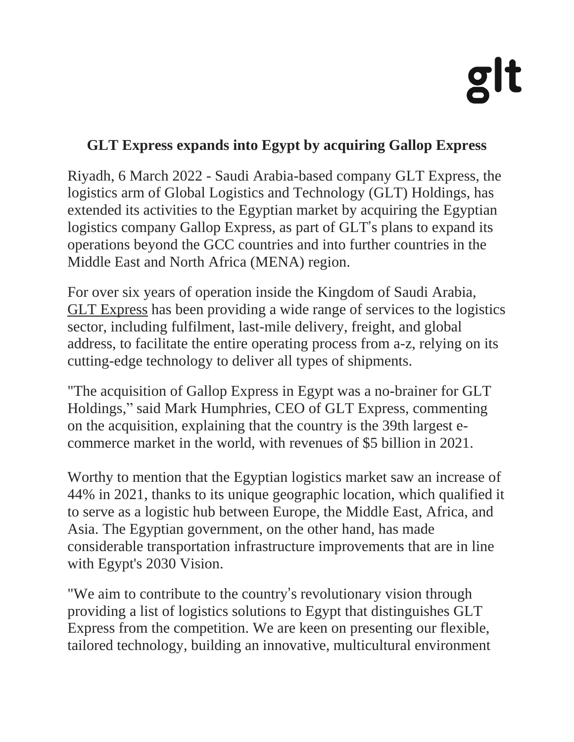## <u>di</u>

## **GLT Express expands into Egypt by acquiring Gallop Express**

Riyadh, 6 March 2022 - Saudi Arabia-based company GLT Express, the logistics arm of Global Logistics and Technology (GLT) Holdings, has extended its activities to the Egyptian market by acquiring the Egyptian logistics company Gallop Express, as part of GLT's plans to expand its operations beyond the GCC countries and into further countries in the Middle East and North Africa (MENA) region.

For over six years of operation inside the Kingdom of Saudi Arabia, GLT [Express](https://gltmena.com/) has been providing a wide range of services to the logistics sector, including fulfilment, last-mile delivery, freight, and global address, to facilitate the entire operating process from a-z, relying on its cutting-edge technology to deliver all types of shipments.

"The acquisition of Gallop Express in Egypt was a no-brainer for GLT Holdings," said Mark Humphries, CEO of GLT Express, commenting on the acquisition, explaining that the country is the 39th largest ecommerce market in the world, with revenues of \$5 billion in 2021.

Worthy to mention that the Egyptian logistics market saw an increase of 44% in 2021, thanks to its unique geographic location, which qualified it to serve as a logistic hub between Europe, the Middle East, Africa, and Asia. The Egyptian government, on the other hand, has made considerable transportation infrastructure improvements that are in line with Egypt's 2030 Vision.

"We aim to contribute to the country's revolutionary vision through providing a list of logistics solutions to Egypt that distinguishes GLT Express from the competition. We are keen on presenting our flexible, tailored technology, building an innovative, multicultural environment